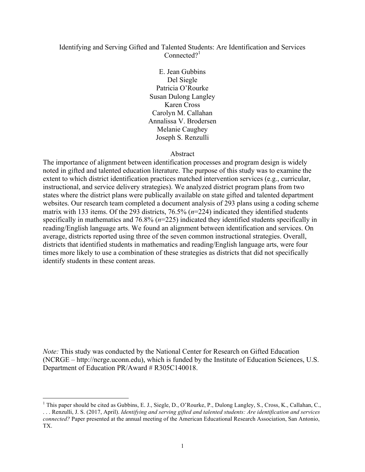### Identifying and Serving Gifted and Talented Students: Are Identification and Services  $Connected<sup>1</sup>$

E. Jean Gubbins Del Siegle Patricia O'Rourke Susan Dulong Langley Karen Cross Carolyn M. Callahan Annalissa V. Brodersen Melanie Caughey Joseph S. Renzulli

Abstract

The importance of alignment between identification processes and program design is widely noted in gifted and talented education literature. The purpose of this study was to examine the extent to which district identification practices matched intervention services (e.g., curricular, instructional, and service delivery strategies). We analyzed district program plans from two states where the district plans were publically available on state gifted and talented department websites. Our research team completed a document analysis of 293 plans using a coding scheme matrix with 133 items. Of the 293 districts, 76.5% (*n*=224) indicated they identified students specifically in mathematics and 76.8% (*n*=225) indicated they identified students specifically in reading/English language arts. We found an alignment between identification and services. On average, districts reported using three of the seven common instructional strategies. Overall, districts that identified students in mathematics and reading/English language arts, were four times more likely to use a combination of these strategies as districts that did not specifically identify students in these content areas.

*Note:* This study was conducted by the National Center for Research on Gifted Education (NCRGE – http://ncrge.uconn.edu), which is funded by the Institute of Education Sciences, U.S. Department of Education PR/Award # R305C140018.

<sup>&</sup>lt;sup>1</sup> This paper should be cited as Gubbins, E. J., Siegle, D., O'Rourke, P., Dulong Langley, S., Cross, K., Callahan, C., . . . Renzulli, J. S. (2017, April). *Identifying and serving gifted and talented students: Are identification and services connected?* Paper presented at the annual meeting of the American Educational Research Association, San Antonio, TX.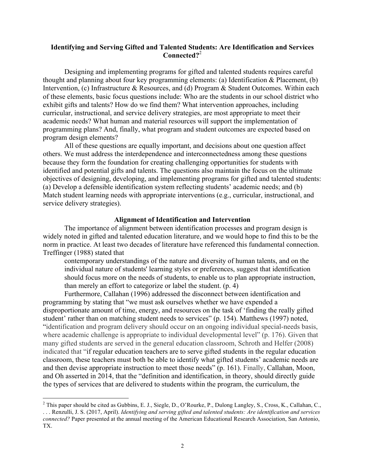### **Identifying and Serving Gifted and Talented Students: Are Identification and Services Connected?**<sup>2</sup>

Designing and implementing programs for gifted and talented students requires careful thought and planning about four key programming elements: (a) Identification & Placement, (b) Intervention, (c) Infrastructure & Resources, and (d) Program & Student Outcomes. Within each of these elements, basic focus questions include: Who are the students in our school district who exhibit gifts and talents? How do we find them? What intervention approaches, including curricular, instructional, and service delivery strategies, are most appropriate to meet their academic needs? What human and material resources will support the implementation of programming plans? And, finally, what program and student outcomes are expected based on program design elements?

All of these questions are equally important, and decisions about one question affect others. We must address the interdependence and interconnectedness among these questions because they form the foundation for creating challenging opportunities for students with identified and potential gifts and talents. The questions also maintain the focus on the ultimate objectives of designing, developing, and implementing programs for gifted and talented students: (a) Develop a defensible identification system reflecting students' academic needs; and (b) Match student learning needs with appropriate interventions (e.g., curricular, instructional, and service delivery strategies).

#### **Alignment of Identification and Intervention**

The importance of alignment between identification processes and program design is widely noted in gifted and talented education literature, and we would hope to find this to be the norm in practice. At least two decades of literature have referenced this fundamental connection. Treffinger (1988) stated that

contemporary understandings of the nature and diversity of human talents, and on the individual nature of students' learning styles or preferences, suggest that identification should focus more on the needs of students, to enable us to plan appropriate instruction, than merely an effort to categorize or label the student. (p. 4)

Furthermore, Callahan (1996) addressed the disconnect between identification and programming by stating that "we must ask ourselves whether we have expended a disproportionate amount of time, energy, and resources on the task of 'finding the really gifted student' rather than on matching student needs to services" (p. 154). Matthews (1997) noted, "identification and program delivery should occur on an ongoing individual special-needs basis, where academic challenge is appropriate to individual developmental level" (p. 176). Given that many gifted students are served in the general education classroom, Schroth and Helfer (2008) indicated that "if regular education teachers are to serve gifted students in the regular education classroom, these teachers must both be able to identify what gifted students' academic needs are and then devise appropriate instruction to meet those needs" (p. 161). Finally, Callahan, Moon, and Oh asserted in 2014, that the "definition and identification, in theory, should directly guide the types of services that are delivered to students within the program, the curriculum, the

<sup>&</sup>lt;sup>2</sup> This paper should be cited as Gubbins, E. J., Siegle, D., O'Rourke, P., Dulong Langley, S., Cross, K., Callahan, C., . . . Renzulli, J. S. (2017, April). *Identifying and serving gifted and talented students: Are identification and services connected?* Paper presented at the annual meeting of the American Educational Research Association, San Antonio, TX.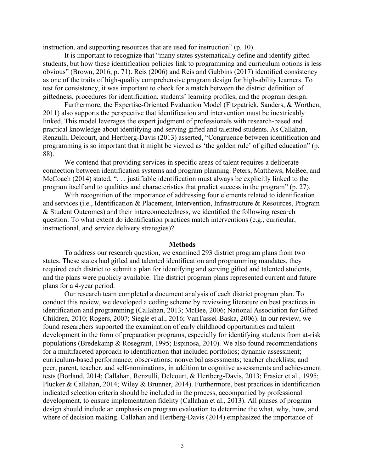instruction, and supporting resources that are used for instruction" (p. 10).

It is important to recognize that "many states systematically define and identify gifted students, but how these identification policies link to programming and curriculum options is less obvious" (Brown, 2016, p. 71). Reis (2006) and Reis and Gubbins (2017) identified consistency as one of the traits of high-quality comprehensive program design for high-ability learners. To test for consistency, it was important to check for a match between the district definition of giftedness, procedures for identification, students' learning profiles, and the program design.

Furthermore, the Expertise-Oriented Evaluation Model (Fitzpatrick, Sanders, & Worthen, 2011) also supports the perspective that identification and intervention must be inextricably linked. This model leverages the expert judgment of professionals with research-based and practical knowledge about identifying and serving gifted and talented students. As Callahan, Renzulli, Delcourt, and Hertberg-Davis (2013) asserted, "Congruence between identification and programming is so important that it might be viewed as 'the golden rule' of gifted education" (p. 88).

We contend that providing services in specific areas of talent requires a deliberate connection between identification systems and program planning. Peters, Matthews, McBee, and McCoach (2014) stated, "... justifiable identification must always be explicitly linked to the program itself and to qualities and characteristics that predict success in the program" (p. 27).

With recognition of the importance of addressing four elements related to identification and services (i.e., Identification & Placement, Intervention, Infrastructure & Resources, Program & Student Outcomes) and their interconnectedness, we identified the following research question: To what extent do identification practices match interventions (e.g., curricular, instructional, and service delivery strategies)?

#### **Methods**

To address our research question, we examined 293 district program plans from two states. These states had gifted and talented identification and programming mandates, they required each district to submit a plan for identifying and serving gifted and talented students, and the plans were publicly available. The district program plans represented current and future plans for a 4-year period.

Our research team completed a document analysis of each district program plan. To conduct this review, we developed a coding scheme by reviewing literature on best practices in identification and programming (Callahan, 2013; McBee, 2006; National Association for Gifted Children, 2010; Rogers, 2007; Siegle et al., 2016; VanTassel-Baska, 2006). In our review, we found researchers supported the examination of early childhood opportunities and talent development in the form of preparation programs, especially for identifying students from at-risk populations (Bredekamp & Rosegrant, 1995; Espinosa, 2010). We also found recommendations for a multifaceted approach to identification that included portfolios; dynamic assessment; curriculum-based performance; observations; nonverbal assessments; teacher checklists; and peer, parent, teacher, and self-nominations, in addition to cognitive assessments and achievement tests (Borland, 2014; Callahan, Renzulli, Delcourt, & Hertberg-Davis, 2013; Frasier et al., 1995; Plucker & Callahan, 2014; Wiley & Brunner, 2014). Furthermore, best practices in identification indicated selection criteria should be included in the process, accompanied by professional development, to ensure implementation fidelity (Callahan et al., 2013). All phases of program design should include an emphasis on program evaluation to determine the what, why, how, and where of decision making. Callahan and Hertberg-Davis (2014) emphasized the importance of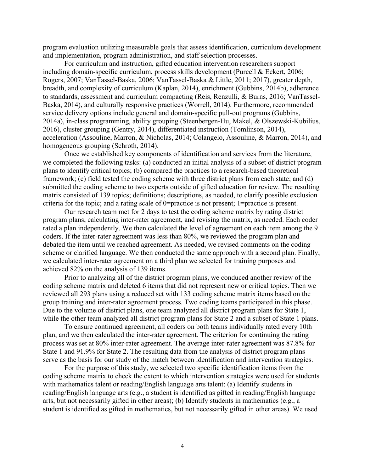program evaluation utilizing measurable goals that assess identification, curriculum development and implementation, program administration, and staff selection processes.

For curriculum and instruction, gifted education intervention researchers support including domain-specific curriculum, process skills development (Purcell & Eckert, 2006; Rogers, 2007; VanTassel-Baska, 2006; VanTassel-Baska & Little, 2011; 2017), greater depth, breadth, and complexity of curriculum (Kaplan, 2014), enrichment (Gubbins, 2014b), adherence to standards, assessment and curriculum compacting (Reis, Renzulli, & Burns, 2016; VanTassel-Baska, 2014), and culturally responsive practices (Worrell, 2014). Furthermore, recommended service delivery options include general and domain-specific pull-out programs (Gubbins, 2014a), in-class programming, ability grouping (Steenbergen-Hu, Makel, & Olszewski-Kubilius, 2016), cluster grouping (Gentry, 2014), differentiated instruction (Tomlinson, 2014), acceleration (Assouline, Marron, & Nicholas, 2014; Colangelo, Assouline, & Marron, 2014), and homogeneous grouping (Schroth, 2014).

Once we established key components of identification and services from the literature, we completed the following tasks: (a) conducted an initial analysis of a subset of district program plans to identify critical topics; (b) compared the practices to a research-based theoretical framework; (c) field tested the coding scheme with three district plans from each state; and (d) submitted the coding scheme to two experts outside of gifted education for review. The resulting matrix consisted of 139 topics; definitions; descriptions, as needed, to clarify possible exclusion criteria for the topic; and a rating scale of 0=practice is not present; 1=practice is present.

Our research team met for 2 days to test the coding scheme matrix by rating district program plans, calculating inter-rater agreement, and revising the matrix, as needed. Each coder rated a plan independently. We then calculated the level of agreement on each item among the 9 coders. If the inter-rater agreement was less than 80%, we reviewed the program plan and debated the item until we reached agreement. As needed, we revised comments on the coding scheme or clarified language. We then conducted the same approach with a second plan. Finally, we calculated inter-rater agreement on a third plan we selected for training purposes and achieved 82% on the analysis of 139 items.

Prior to analyzing all of the district program plans, we conduced another review of the coding scheme matrix and deleted 6 items that did not represent new or critical topics. Then we reviewed all 293 plans using a reduced set with 133 coding scheme matrix items based on the group training and inter-rater agreement process. Two coding teams participated in this phase. Due to the volume of district plans, one team analyzed all district program plans for State 1, while the other team analyzed all district program plans for State 2 and a subset of State 1 plans.

To ensure continued agreement, all coders on both teams individually rated every 10th plan, and we then calculated the inter-rater agreement. The criterion for continuing the rating process was set at 80% inter-rater agreement. The average inter-rater agreement was 87.8% for State 1 and 91.9% for State 2. The resulting data from the analysis of district program plans serve as the basis for our study of the match between identification and intervention strategies.

For the purpose of this study, we selected two specific identification items from the coding scheme matrix to check the extent to which intervention strategies were used for students with mathematics talent or reading/English language arts talent: (a) Identify students in reading/English language arts (e.g., a student is identified as gifted in reading/English language arts, but not necessarily gifted in other areas); (b) Identify students in mathematics (e.g., a student is identified as gifted in mathematics, but not necessarily gifted in other areas). We used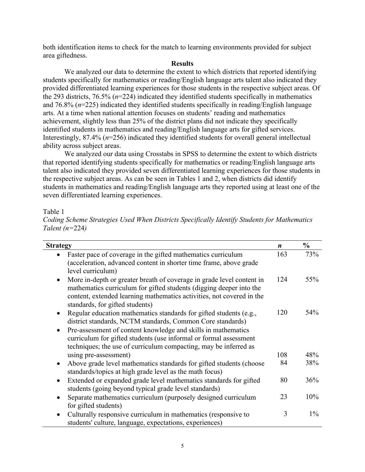both identification items to check for the match to learning environments provided for subject area giftedness.

### **Results**

We analyzed our data to determine the extent to which districts that reported identifying students specifically for mathematics or reading/English language arts talent also indicated they provided differentiated learning experiences for those students in the respective subject areas. Of the 293 districts, 76.5% (*n*=224) indicated they identified students specifically in mathematics and 76.8% (*n*=225) indicated they identified students specifically in reading/English language arts. At a time when national attention focuses on students' reading and mathematics achievement, slightly less than 25% of the district plans did not indicate they specifically identified students in mathematics and reading/English language arts for gifted services. Interestingly, 87.4% (*n*=256) indicated they identified students for overall general intellectual ability across subject areas.

We analyzed our data using Crosstabs in SPSS to determine the extent to which districts that reported identifying students specifically for mathematics or reading/English language arts talent also indicated they provided seven differentiated learning experiences for those students in the respective subject areas. As can be seen in Tables 1 and 2, when districts did identify students in mathematics and reading/English language arts they reported using at least one of the seven differentiated learning experiences.

### Table 1

|                    | Coding Scheme Strategies Used When Districts Specifically Identify Students for Mathematics |
|--------------------|---------------------------------------------------------------------------------------------|
| Talent ( $n=224$ ) |                                                                                             |

| <b>Strategy</b>                                                                                                                                                                                                                                                       | $\boldsymbol{n}$ | $\frac{0}{0}$ |
|-----------------------------------------------------------------------------------------------------------------------------------------------------------------------------------------------------------------------------------------------------------------------|------------------|---------------|
| Faster pace of coverage in the gifted mathematics curriculum<br>$\bullet$<br>(acceleration, advanced content in shorter time frame, above grade<br>level curriculum)                                                                                                  | 163              | 73%           |
| More in-depth or greater breath of coverage in grade level content in<br>$\bullet$<br>mathematics curriculum for gifted students (digging deeper into the<br>content, extended learning mathematics activities, not covered in the<br>standards, for gifted students) | 124              | 55%           |
| Regular education mathematics standards for gifted students (e.g.,<br>district standards, NCTM standards, Common Core standards)                                                                                                                                      | 120              | 54%           |
| Pre-assessment of content knowledge and skills in mathematics<br>$\bullet$<br>curriculum for gifted students (use informal or formal assessment<br>techniques; the use of curriculum compacting, may be inferred as                                                   |                  |               |
| using pre-assessment)                                                                                                                                                                                                                                                 | 108              | 48%           |
| Above grade level mathematics standards for gifted students (choose<br>$\bullet$<br>standards/topics at high grade level as the math focus)                                                                                                                           | 84               | 38%           |
| Extended or expanded grade level mathematics standards for gifted<br>$\bullet$<br>students (going beyond typical grade level standards)                                                                                                                               | 80               | 36%           |
| Separate mathematics curriculum (purposely designed curriculum<br>for gifted students)                                                                                                                                                                                | 23               | 10%           |
| Culturally responsive curriculum in mathematics (responsive to<br>students' culture, language, expectations, experiences)                                                                                                                                             | 3                | $1\%$         |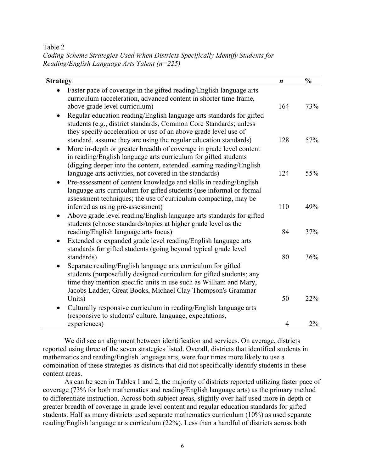Table 2

*Coding Scheme Strategies Used When Districts Specifically Identify Students for Reading/English Language Arts Talent (n=225)*

| <b>Strategy</b>                                                                                                                                                                                                                                                                        | $\boldsymbol{n}$ | $\frac{0}{0}$ |
|----------------------------------------------------------------------------------------------------------------------------------------------------------------------------------------------------------------------------------------------------------------------------------------|------------------|---------------|
| Faster pace of coverage in the gifted reading/English language arts<br>curriculum (acceleration, advanced content in shorter time frame,<br>above grade level curriculum)                                                                                                              | 164              | 73%           |
| Regular education reading/English language arts standards for gifted<br>students (e.g., district standards, Common Core Standards; unless<br>they specify acceleration or use of an above grade level use of                                                                           |                  |               |
| standard, assume they are using the regular education standards)<br>More in-depth or greater breadth of coverage in grade level content<br>٠<br>in reading/English language arts curriculum for gifted students<br>(digging deeper into the content, extended learning reading/English | 128              | 57%           |
| language arts activities, not covered in the standards)<br>Pre-assessment of content knowledge and skills in reading/English<br>$\bullet$<br>language arts curriculum for gifted students (use informal or formal<br>assessment techniques; the use of curriculum compacting, may be   | 124              | 55%           |
| inferred as using pre-assessment)<br>Above grade level reading/English language arts standards for gifted<br>$\bullet$<br>students (choose standards/topics at higher grade level as the                                                                                               | 110              | 49%           |
| reading/English language arts focus)<br>Extended or expanded grade level reading/English language arts<br>$\bullet$<br>standards for gifted students (going beyond typical grade level                                                                                                 | 84               | 37%           |
| standards)<br>Separate reading/English language arts curriculum for gifted<br>students (purposefully designed curriculum for gifted students; any<br>time they mention specific units in use such as William and Mary,<br>Jacobs Ladder, Great Books, Michael Clay Thompson's Grammar  | 80               | 36%           |
| Units)<br>Culturally responsive curriculum in reading/English language arts<br>(responsive to students' culture, language, expectations,                                                                                                                                               | 50               | 22%           |
| experiences)                                                                                                                                                                                                                                                                           | $\overline{4}$   | 2%            |

We did see an alignment between identification and services. On average, districts reported using three of the seven strategies listed. Overall, districts that identified students in mathematics and reading/English language arts, were four times more likely to use a combination of these strategies as districts that did not specifically identify students in these content areas.

As can be seen in Tables 1 and 2, the majority of districts reported utilizing faster pace of coverage (73% for both mathematics and reading/English language arts) as the primary method to differentiate instruction. Across both subject areas, slightly over half used more in-depth or greater breadth of coverage in grade level content and regular education standards for gifted students. Half as many districts used separate mathematics curriculum (10%) as used separate reading/English language arts curriculum (22%). Less than a handful of districts across both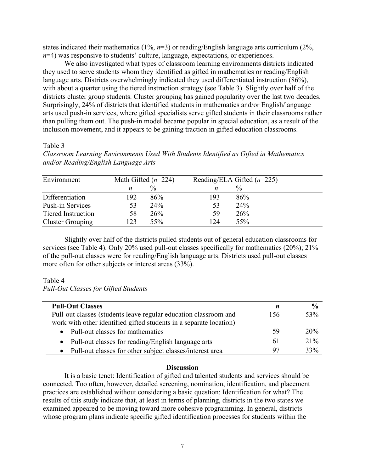states indicated their mathematics (1%, *n*=3) or reading/English language arts curriculum (2%, *n*=4) was responsive to students' culture, language, expectations, or experiences.

We also investigated what types of classroom learning environments districts indicated they used to serve students whom they identified as gifted in mathematics or reading/English language arts. Districts overwhelmingly indicated they used differentiated instruction (86%), with about a quarter using the tiered instruction strategy (see Table 3). Slightly over half of the districts cluster group students. Cluster grouping has gained popularity over the last two decades. Surprisingly, 24% of districts that identified students in mathematics and/or English/language arts used push-in services, where gifted specialists serve gifted students in their classrooms rather than pulling them out. The push-in model became popular in special education, as a result of the inclusion movement, and it appears to be gaining traction in gifted education classrooms.

# Table 3

*Classroom Learning Environments Used With Students Identified as Gifted in Mathematics and/or Reading/English Language Arts*

| Environment             | Math Gifted $(n=224)$ |               | Reading/ELA Gifted $(n=225)$ |      |  |
|-------------------------|-----------------------|---------------|------------------------------|------|--|
|                         | n                     | $\frac{0}{0}$ | n                            | $\%$ |  |
| Differentiation         | 192                   | 86%           | 193                          | 86%  |  |
| <b>Push-in Services</b> | 53                    | 24%           | 53                           | 24%  |  |
| Tiered Instruction      | 58                    | 26%           | 59                           | 26%  |  |
| <b>Cluster Grouping</b> | 123                   | 55%           | 124                          | 55%  |  |

Slightly over half of the districts pulled students out of general education classrooms for services (see Table 4). Only 20% used pull-out classes specifically for mathematics (20%); 21% of the pull-out classes were for reading/English language arts. Districts used pull-out classes more often for other subjects or interest areas (33%).

# Table 4

*Pull-Out Classes for Gifted Students*

| <b>Pull-Out Classes</b>                                            | n   | $\frac{6}{9}$ |
|--------------------------------------------------------------------|-----|---------------|
| Pull-out classes (students leave regular education classroom and   | 156 | 53%           |
| work with other identified gifted students in a separate location) |     |               |
| Pull-out classes for mathematics                                   | 59  | 20%           |
| Pull-out classes for reading/English language arts<br>$\bullet$    | 61  | 21%           |
| Pull-out classes for other subject classes/interest area           | 97  | 33%           |

# **Discussion**

It is a basic tenet: Identification of gifted and talented students and services should be connected. Too often, however, detailed screening, nomination, identification, and placement practices are established without considering a basic question: Identification for what? The results of this study indicate that, at least in terms of planning, districts in the two states we examined appeared to be moving toward more cohesive programming. In general, districts whose program plans indicate specific gifted identification processes for students within the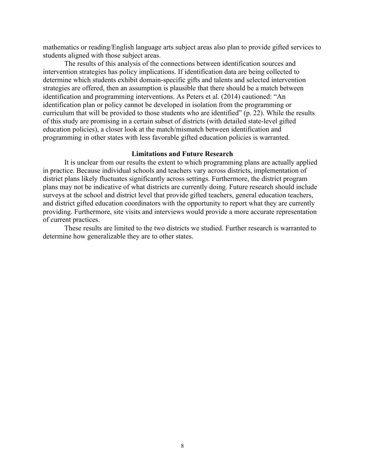mathematics or reading/English language arts subject areas also plan to provide gifted services to students aligned with those subject areas.

The results of this analysis of the connections between identification sources and intervention strategies has policy implications. If identification data are being collected to determine which students exhibit domain-specific gifts and talents and selected intervention strategies are offered, then an assumption is plausible that there should be a match between identification and programming interventions. As Peters et al. (2014) cautioned: "An identification plan or policy cannot be developed in isolation from the programming or curriculum that will be provided to those students who are identified" (p. 22). While the results of this study are promising in a certain subset of districts (with detailed state-level gifted education policies), a closer look at the match/mismatch between identification and programming in other states with less favorable gifted education policies is warranted.

### **Limitations and Future Research**

It is unclear from our results the extent to which programming plans are actually applied in practice. Because individual schools and teachers vary across districts, implementation of district plans likely fluctuates significantly across settings. Furthermore, the district program plans may not be indicative of what districts are currently doing. Future research should include surveys at the school and district level that provide gifted teachers, general education teachers, and district gifted education coordinators with the opportunity to report what they are currently providing. Furthermore, site visits and interviews would provide a more accurate representation of current practices.

These results are limited to the two districts we studied. Further research is warranted to determine how generalizable they are to other states.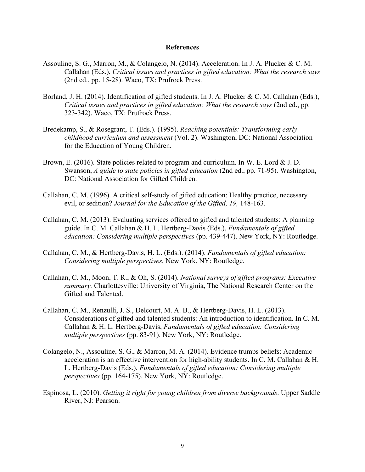#### **References**

- Assouline, S. G., Marron, M., & Colangelo, N. (2014). Acceleration. In J. A. Plucker & C. M. Callahan (Eds.), *Critical issues and practices in gifted education: What the research says* (2nd ed., pp. 15-28). Waco, TX: Prufrock Press.
- Borland, J. H. (2014). Identification of gifted students. In J. A. Plucker & C. M. Callahan (Eds.), *Critical issues and practices in gifted education: What the research says* (2nd ed., pp. 323-342). Waco, TX: Prufrock Press.
- Bredekamp, S., & Rosegrant, T. (Eds.). (1995). *Reaching potentials: Transforming early childhood curriculum and assessment* (Vol. 2). Washington, DC: National Association for the Education of Young Children.
- Brown, E. (2016). State policies related to program and curriculum. In W. E. Lord & J. D. Swanson, *A guide to state policies in gifted education* (2nd ed., pp. 71-95). Washington, DC: National Association for Gifted Children.
- Callahan, C. M. (1996). A critical self-study of gifted education: Healthy practice, necessary evil, or sedition? *Journal for the Education of the Gifted, 19,* 148-163.
- Callahan, C. M. (2013). Evaluating services offered to gifted and talented students: A planning guide. In C. M. Callahan & H. L. Hertberg-Davis (Eds.), *Fundamentals of gifted education: Considering multiple perspectives* (pp. 439-447). New York, NY: Routledge.
- Callahan, C. M., & Hertberg-Davis, H. L. (Eds.). (2014). *Fundamentals of gifted education: Considering multiple perspectives.* New York, NY: Routledge.
- Callahan, C. M., Moon, T. R., & Oh, S. (2014). *National surveys of gifted programs: Executive summary.* Charlottesville: University of Virginia, The National Research Center on the Gifted and Talented.
- Callahan, C. M., Renzulli, J. S., Delcourt, M. A. B., & Hertberg-Davis, H. L. (2013). Considerations of gifted and talented students: An introduction to identification. In C. M. Callahan & H. L. Hertberg-Davis, *Fundamentals of gifted education: Considering multiple perspectives* (pp. 83-91). New York, NY: Routledge.
- Colangelo, N., Assouline, S. G., & Marron, M. A. (2014). Evidence trumps beliefs: Academic acceleration is an effective intervention for high-ability students. In C. M. Callahan & H. L. Hertberg-Davis (Eds.), *Fundamentals of gifted education: Considering multiple perspectives* (pp. 164-175). New York, NY: Routledge.
- Espinosa, L. (2010). *Getting it right for young children from diverse backgrounds*. Upper Saddle River, NJ: Pearson.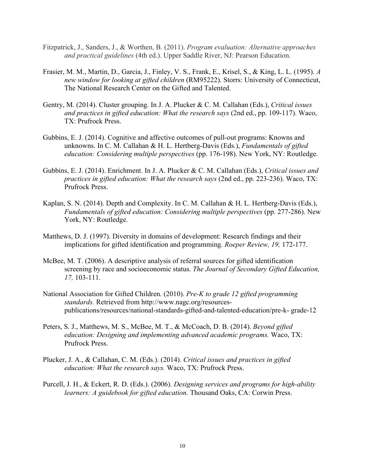- Fitzpatrick, J., Sanders, J., & Worthen, B. (2011). *Program evaluation: Alternative approaches and practical guidelines* (4th ed.). Upper Saddle River, NJ: Pearson Education.
- Frasier, M. M., Martin, D., Garcia, J., Finley, V. S., Frank, E., Krisel, S., & King, L. L. (1995). *A new window for looking at gifted children* (RM95222). Storrs: University of Connecticut, The National Research Center on the Gifted and Talented.
- Gentry, M. (2014). Cluster grouping. In J. A. Plucker & C. M. Callahan (Eds.), *Critical issues and practices in gifted education: What the research says* (2nd ed., pp. 109-117). Waco, TX: Prufrock Press.
- Gubbins, E. J. (2014). Cognitive and affective outcomes of pull-out programs: Knowns and unknowns. In C. M. Callahan & H. L. Hertberg-Davis (Eds.), *Fundamentals of gifted education: Considering multiple perspectives* (pp. 176-198). New York, NY: Routledge.
- Gubbins, E. J. (2014). Enrichment. In J. A. Plucker & C. M. Callahan (Eds.), *Critical issues and practices in gifted education: What the research says* (2nd ed., pp. 223-236). Waco, TX: Prufrock Press.
- Kaplan, S. N. (2014). Depth and Complexity. In C. M. Callahan & H. L. Hertberg-Davis (Eds.), *Fundamentals of gifted education: Considering multiple perspectives (pp. 277-286).* New York, NY: Routledge.
- Matthews, D. J. (1997). Diversity in domains of development: Research findings and their implications for gifted identification and programming. *Roeper Review, 19,* 172-177.
- McBee, M. T. (2006). A descriptive analysis of referral sources for gifted identification screening by race and socioeconomic status. *The Journal of Secondary Gifted Education, 17,* 103-111.
- National Association for Gifted Children. (2010). *Pre-K to grade 12 gifted programming standards.* Retrieved from http://www.nagc.org/resourcespublications/resources/national-standards-gifted-and-talented-education/pre-k- grade-12
- Peters, S. J., Matthews, M. S., McBee, M. T., & McCoach, D. B. (2014). *Beyond gifted education: Designing and implementing advanced academic programs.* Waco, TX: Prufrock Press.
- Plucker, J. A., & Callahan, C. M. (Eds.). (2014). *Critical issues and practices in gifted education: What the research says.* Waco, TX: Prufrock Press.
- Purcell, J. H., & Eckert, R. D. (Eds.). (2006). *Designing services and programs for high-ability learners: A guidebook for gifted education.* Thousand Oaks, CA: Corwin Press.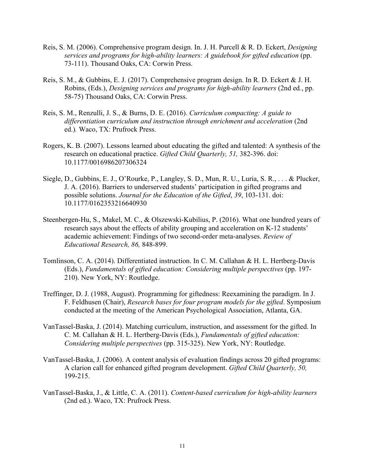- Reis, S. M. (2006). Comprehensive program design. In. J. H. Purcell & R. D. Eckert, *Designing services and programs for high-ability learners: A guidebook for gifted education* (pp. 73-111). Thousand Oaks, CA: Corwin Press.
- Reis, S. M., & Gubbins, E. J. (2017). Comprehensive program design. In R. D. Eckert & J. H. Robins, (Eds.), *Designing services and programs for high-ability learners* (2nd ed*.*, pp. 58-75) Thousand Oaks, CA: Corwin Press.
- Reis, S. M., Renzulli, J. S., & Burns, D. E. (2016). *Curriculum compacting: A guide to differentiation curriculum and instruction through enrichment and acceleration* (2nd ed.)*.* Waco, TX: Prufrock Press.
- Rogers, K. B. (2007). Lessons learned about educating the gifted and talented: A synthesis of the research on educational practice. *Gifted Child Quarterly, 51,* 382-396. doi: 10.1177/0016986207306324
- Siegle, D., Gubbins, E. J., O'Rourke, P., Langley, S. D., Mun, R. U., Luria, S. R., . . . & Plucker, J. A. (2016). Barriers to underserved students' participation in gifted programs and possible solutions. *Journal for the Education of the Gifted*, *39*, 103-131. doi: 10.1177/0162353216640930
- Steenbergen-Hu, S., Makel, M. C., & Olszewski-Kubilius, P. (2016). What one hundred years of research says about the effects of ability grouping and acceleration on K-12 students' academic achievement: Findings of two second-order meta-analyses. *Review of Educational Research, 86,* 848-899.
- Tomlinson, C. A. (2014). Differentiated instruction. In C. M. Callahan & H. L. Hertberg-Davis (Eds.), *Fundamentals of gifted education: Considering multiple perspectives* (pp. 197- 210). New York, NY: Routledge.
- Treffinger, D. J. (1988, August). Programming for giftedness: Reexamining the paradigm. In J. F. Feldhusen (Chair), *Research bases for four program models for the gifted*. Symposium conducted at the meeting of the American Psychological Association, Atlanta, GA.
- VanTassel-Baska, J. (2014). Matching curriculum, instruction, and assessment for the gifted. In C. M. Callahan & H. L. Hertberg-Davis (Eds.), *Fundamentals of gifted education: Considering multiple perspectives* (pp. 315-325). New York, NY: Routledge.
- VanTassel-Baska, J. (2006). A content analysis of evaluation findings across 20 gifted programs: A clarion call for enhanced gifted program development. *Gifted Child Quarterly, 50,*  199-215.
- VanTassel-Baska, J., & Little, C. A. (2011). *Content-based curriculum for high-ability learners* (2nd ed.). Waco, TX: Prufrock Press.